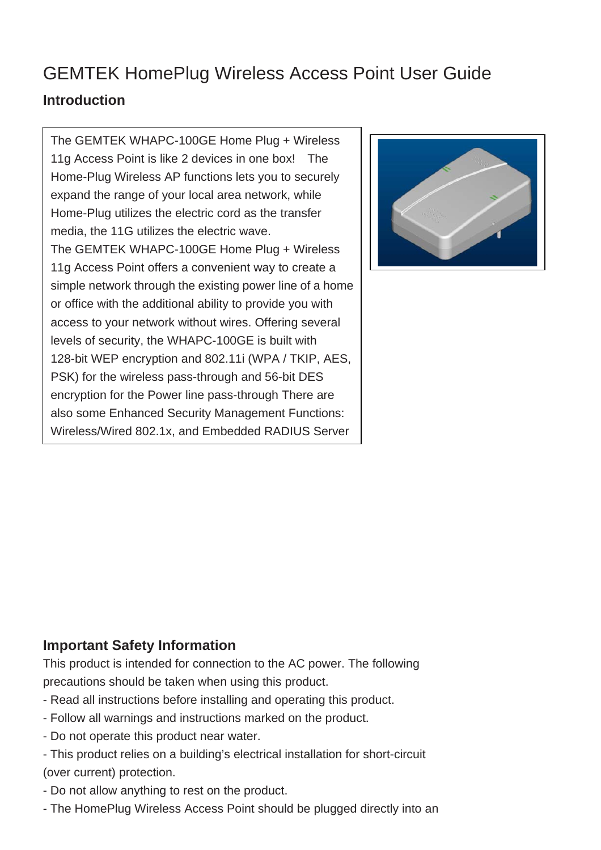# GEMTEK HomePlug Wireless Access Point User Guide **Introduction**

The GEMTEK WHAPC-100GE Home Plug + Wireless 11g Access Point is like 2 devices in one box! The Home-Plug Wireless AP functions lets you to securely expand the range of your local area network, while Home-Plug utilizes the electric cord as the transfer media, the 11G utilizes the electric wave. The GEMTEK WHAPC-100GE Home Plug + Wireless 11g Access Point offers a convenient way to create a simple network through the existing power line of a home or office with the additional ability to provide you with access to your network without wires. Offering several levels of security, the WHAPC-100GE is built with 128-bit WEP encryption and 802.11i (WPA / TKIP, AES, PSK) for the wireless pass-through and 56-bit DES encryption for the Power line pass-through There are also some Enhanced Security Management Functions: Wireless/Wired 802.1x, and Embedded RADIUS Server



# **Important Safety Information**

This product is intended for connection to the AC power. The following precautions should be taken when using this product.

- Read all instructions before installing and operating this product.
- Follow all warnings and instructions marked on the product.
- Do not operate this product near water.
- This product relies on a building's electrical installation for short-circuit (over current) protection.
- Do not allow anything to rest on the product.
- The HomePlug Wireless Access Point should be plugged directly into an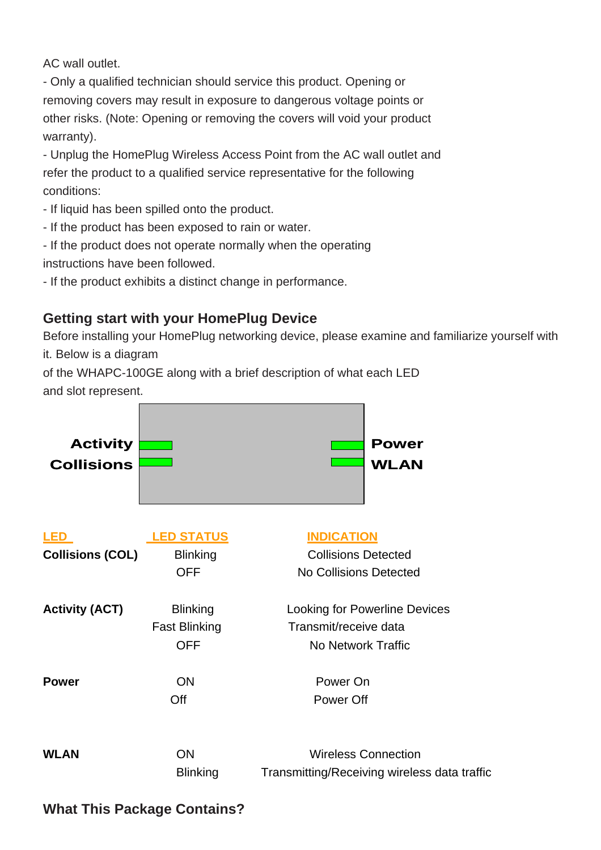AC wall outlet.

- Only a qualified technician should service this product. Opening or removing covers may result in exposure to dangerous voltage points or other risks. (Note: Opening or removing the covers will void your product warranty).

- Unplug the HomePlug Wireless Access Point from the AC wall outlet and refer the product to a qualified service representative for the following conditions:

- If liquid has been spilled onto the product.
- If the product has been exposed to rain or water.
- If the product does not operate normally when the operating

instructions have been followed.

- If the product exhibits a distinct change in performance.

# **Getting start with your HomePlug Device**

Before installing your HomePlug networking device, please examine and familiarize yourself with it. Below is a diagram

of the WHAPC-100GE along with a brief description of what each LED and slot represent.



### **What This Package Contains?**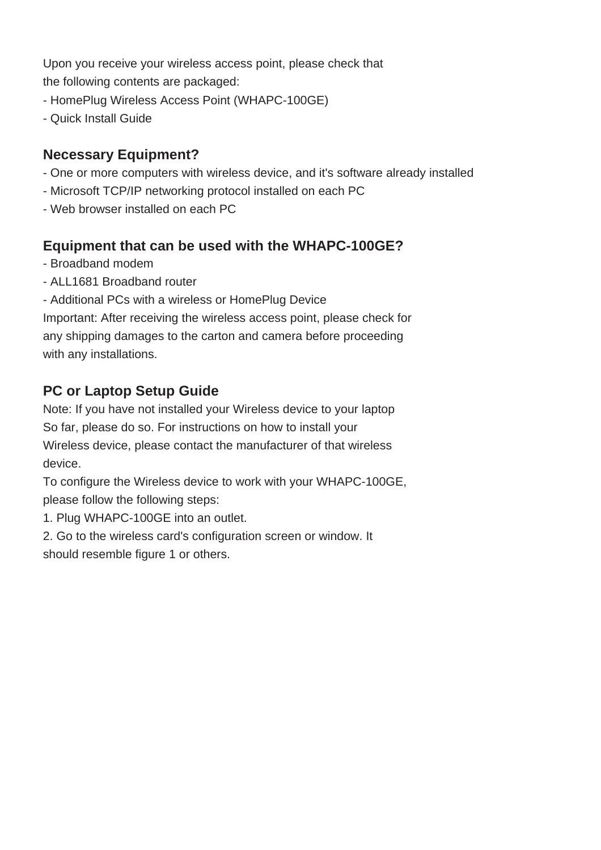Upon you receive your wireless access point, please check that the following contents are packaged:

- HomePlug Wireless Access Point (WHAPC-100GE)
- Quick Install Guide

# **Necessary Equipment?**

- One or more computers with wireless device, and it's software already installed
- Microsoft TCP/IP networking protocol installed on each PC
- Web browser installed on each PC

### **Equipment that can be used with the WHAPC-100GE?**

- Broadband modem
- ALL1681 Broadband router
- Additional PCs with a wireless or HomePlug Device

Important: After receiving the wireless access point, please check for any shipping damages to the carton and camera before proceeding with any installations.

# **PC or Laptop Setup Guide**

Note: If you have not installed your Wireless device to your laptop So far, please do so. For instructions on how to install your Wireless device, please contact the manufacturer of that wireless device.

To configure the Wireless device to work with your WHAPC-100GE, please follow the following steps:

1. Plug WHAPC-100GE into an outlet.

2. Go to the wireless card's configuration screen or window. It should resemble figure 1 or others.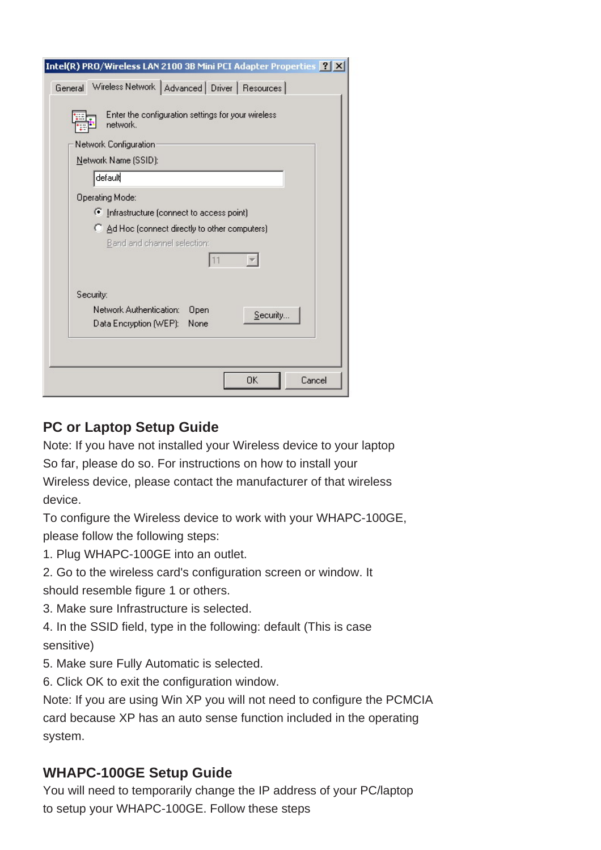| Intel(R) PRO/Wireless LAN 2100 3B Mini PCI Adapter Properties <b>[?</b>   X             |  |  |
|-----------------------------------------------------------------------------------------|--|--|
| Wireless Network   Advanced   Driver   Resources  <br>General                           |  |  |
| Enter the configuration settings for your wireless<br>network.<br>Network Configuration |  |  |
| Network Name (SSID):                                                                    |  |  |
| default                                                                                 |  |  |
| <b>Operating Mode:</b>                                                                  |  |  |
| C Infrastructure (connect to access point)                                              |  |  |
| C Ad Hoc (connect directly to other computers)<br>Band and channel selection:           |  |  |
|                                                                                         |  |  |
| Security:                                                                               |  |  |
| Network Authentication:<br>Open<br>Security<br>Data Encryption (WEP):<br>None           |  |  |
|                                                                                         |  |  |
| ОK<br>Cancel                                                                            |  |  |

## **PC or Laptop Setup Guide**

Note: If you have not installed your Wireless device to your laptop So far, please do so. For instructions on how to install your Wireless device, please contact the manufacturer of that wireless device.

To configure the Wireless device to work with your WHAPC-100GE, please follow the following steps:

1. Plug WHAPC-100GE into an outlet.

2. Go to the wireless card's configuration screen or window. It

should resemble figure 1 or others.

3. Make sure Infrastructure is selected.

4. In the SSID field, type in the following: default (This is case sensitive)

- 5. Make sure Fully Automatic is selected.
- 6. Click OK to exit the configuration window.

Note: If you are using Win XP you will not need to configure the PCMCIA card because XP has an auto sense function included in the operating system.

### **WHAPC-100GE Setup Guide**

You will need to temporarily change the IP address of your PC/laptop to setup your WHAPC-100GE. Follow these steps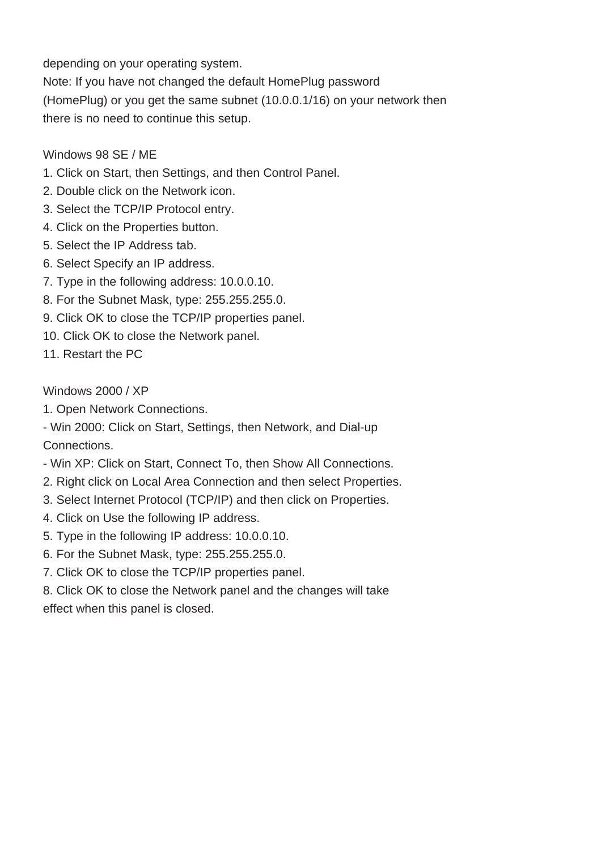depending on your operating system.

Note: If you have not changed the default HomePlug password (HomePlug) or you get the same subnet (10.0.0.1/16) on your network then there is no need to continue this setup.

#### Windows 98 SE / ME

- 1. Click on Start, then Settings, and then Control Panel.
- 2. Double click on the Network icon.
- 3. Select the TCP/IP Protocol entry.
- 4. Click on the Properties button.
- 5. Select the IP Address tab.
- 6. Select Specify an IP address.
- 7. Type in the following address: 10.0.0.10.
- 8. For the Subnet Mask, type: 255.255.255.0.
- 9. Click OK to close the TCP/IP properties panel.
- 10. Click OK to close the Network panel.
- 11. Restart the PC

#### Windows 2000 / XP

1. Open Network Connections.

- Win 2000: Click on Start, Settings, then Network, and Dial-up Connections.

- Win XP: Click on Start, Connect To, then Show All Connections.
- 2. Right click on Local Area Connection and then select Properties.
- 3. Select Internet Protocol (TCP/IP) and then click on Properties.
- 4. Click on Use the following IP address.
- 5. Type in the following IP address: 10.0.0.10.
- 6. For the Subnet Mask, type: 255.255.255.0.
- 7. Click OK to close the TCP/IP properties panel.

8. Click OK to close the Network panel and the changes will take effect when this panel is closed.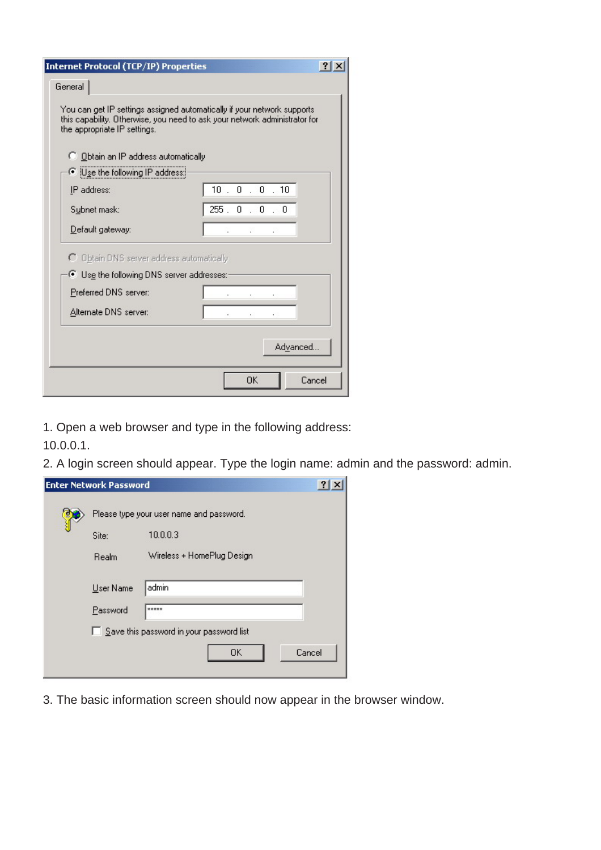| <b>Internet Protocol (TCP/IP) Properties</b>                         |                                                                                                                                                        |
|----------------------------------------------------------------------|--------------------------------------------------------------------------------------------------------------------------------------------------------|
| General                                                              |                                                                                                                                                        |
| the appropriate IP settings.<br>C Obtain an IP address automatically | You can get IP settings assigned automatically if your network supports.<br>this capability. Otherwise, you need to ask your network administrator for |
| Use the following IP address:                                        |                                                                                                                                                        |
| IP address:                                                          | 10.0.0.10                                                                                                                                              |
| Subnet mask:                                                         | 255.0.0.0.0                                                                                                                                            |
| Default gateway:                                                     | ÷                                                                                                                                                      |
| C Obtain DNS server address automatically                            |                                                                                                                                                        |
| Use the following DNS server addresses:                              |                                                                                                                                                        |
| Preferred DNS server:                                                |                                                                                                                                                        |
| Alternate DNS server:                                                |                                                                                                                                                        |
|                                                                      | Advanced                                                                                                                                               |
|                                                                      | <b>OK</b><br>Cancel                                                                                                                                    |

1. Open a web browser and type in the following address:

10.0.0.1.

2. A login screen should appear. Type the login name: admin and the password: admin.

|                                          | <b>Enter Network Password</b>            |                            |        |
|------------------------------------------|------------------------------------------|----------------------------|--------|
|                                          | Please type your user name and password. |                            |        |
|                                          | Site:                                    | 10.0.0.3                   |        |
|                                          | Realm                                    | Wireless + HomePlug Design |        |
|                                          | User Name                                | admin                      |        |
|                                          | Password                                 | xxxxx                      |        |
| Save this password in your password list |                                          |                            |        |
|                                          |                                          | 0K                         | Cancel |

3. The basic information screen should now appear in the browser window.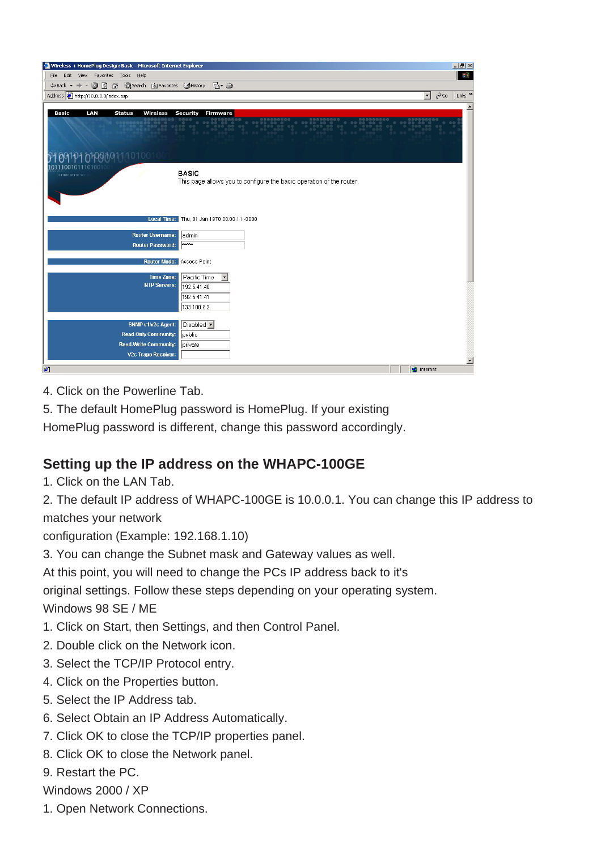| Wireless + HomePlug Design: Basic - Microsoft Internet Explorer                         | $-17$ $\times$                                                                                               |
|-----------------------------------------------------------------------------------------|--------------------------------------------------------------------------------------------------------------|
| File Edit View Favorites Tools Help                                                     | TH.                                                                                                          |
| $\leftarrow$ Back • → • ◎ ⑦ △   ◎ Search 图 Favorites ③ History   図 • ●                  |                                                                                                              |
| Address 3 http://10.0.0.3/index.asp                                                     | $\alpha$ Go<br>Links <sup>&gt;&gt;</sup><br>$\mathbf{r}$                                                     |
| Basic<br>LAN<br><b>Status</b><br>Wireless<br>9109101010989111010010<br>0111001011101001 | Firmware<br>Security<br><b>BASIC</b><br>This page allows you to configure the basic operation of the router. |
|                                                                                         | Local Time: Thu, 01 Jan 1970 00:00:11-0800                                                                   |
| <b>Router Username:</b>                                                                 | admin                                                                                                        |
| <b>Router Password:</b>                                                                 | <b>Acholsk</b>                                                                                               |
| Router Mode: Access Point                                                               |                                                                                                              |
| <b>Time Zone:</b>                                                                       | Pacific Time<br>$\blacktriangledown$                                                                         |
| <b>NTP Servers:</b>                                                                     | 192.5.41.40                                                                                                  |
|                                                                                         | 192.5.41.41                                                                                                  |
|                                                                                         | 133.100.9.2                                                                                                  |
| SNMP v1/v2c Agent:                                                                      | Disabled v                                                                                                   |
| <b>Read-Only Community:</b>                                                             | public                                                                                                       |
| <b>Read-Write Community:</b>                                                            | private                                                                                                      |
| V2c Trape Receiver:                                                                     |                                                                                                              |
| ¢                                                                                       | $\overline{\phantom{a}}$<br><b>D</b> Internet                                                                |

- 4. Click on the Powerline Tab.
- 5. The default HomePlug password is HomePlug. If your existing

HomePlug password is different, change this password accordingly.

### **Setting up the IP address on the WHAPC-100GE**

1. Click on the LAN Tab.

2. The default IP address of WHAPC-100GE is 10.0.0.1. You can change this IP address to matches your network

configuration (Example: 192.168.1.10)

3. You can change the Subnet mask and Gateway values as well.

At this point, you will need to change the PCs IP address back to it's

original settings. Follow these steps depending on your operating system.

Windows 98 SE / ME

- 1. Click on Start, then Settings, and then Control Panel.
- 2. Double click on the Network icon.
- 3. Select the TCP/IP Protocol entry.
- 4. Click on the Properties button.
- 5. Select the IP Address tab.
- 6. Select Obtain an IP Address Automatically.
- 7. Click OK to close the TCP/IP properties panel.
- 8. Click OK to close the Network panel.
- 9. Restart the PC.
- Windows 2000 / XP
- 1. Open Network Connections.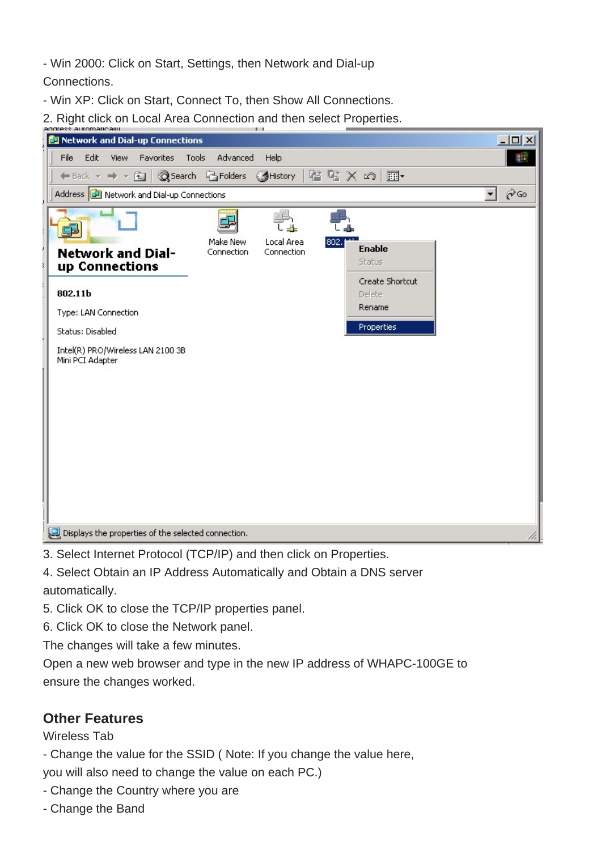- Win 2000: Click on Start, Settings, then Network and Dial-up

Connections.

- Win XP: Click on Start, Connect To, then Show All Connections.

2. Right click on Local Area Connection and then select Properties.



3. Select Internet Protocol (TCP/IP) and then click on Properties.

4. Select Obtain an IP Address Automatically and Obtain a DNS server automatically.

5. Click OK to close the TCP/IP properties panel.

6. Click OK to close the Network panel.

The changes will take a few minutes.

Open a new web browser and type in the new IP address of WHAPC-100GE to ensure the changes worked.

### **Other Features**

Wireless Tab

- Change the value for the SSID ( Note: If you change the value here,

you will also need to change the value on each PC.)

- Change the Country where you are
- Change the Band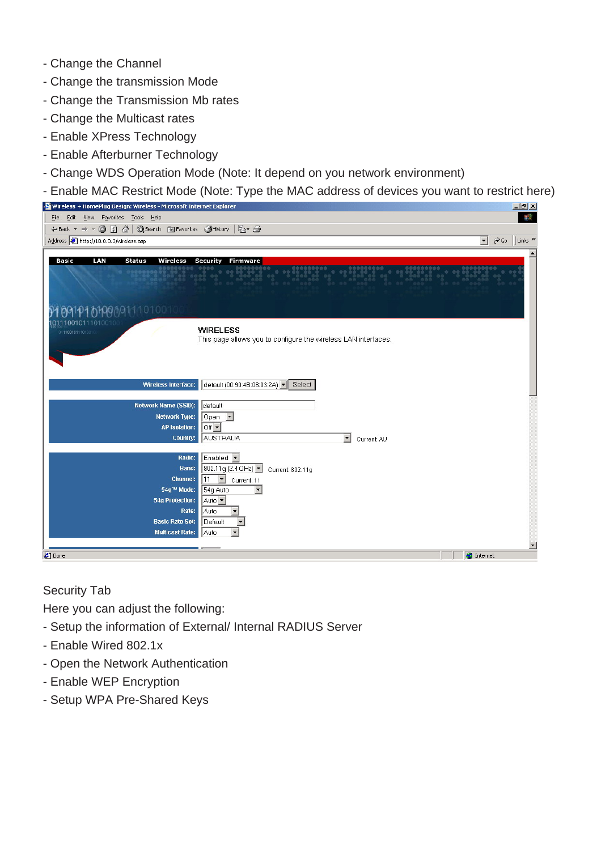- Change the Channel
- Change the transmission Mode
- Change the Transmission Mb rates
- Change the Multicast rates
- Enable XPress Technology
- Enable Afterburner Technology
- Change WDS Operation Mode (Note: It depend on you network environment)
- Enable MAC Restrict Mode (Note: Type the MAC address of devices you want to restrict here)

| Wireless + HomePlug Design: Wireless - Microsoft Internet Explorer | $-10 \times$                                                   |
|--------------------------------------------------------------------|----------------------------------------------------------------|
| File Edit View Favorites Tools Help                                | 彌                                                              |
| ← Back ▼ → ▼ ③ ⑦ △   ◎ Search 图 Favorites ③ History   2 → ③        |                                                                |
| Address <b>B</b> http://10.0.0.3/wireless.asp                      | $\phi$ Go<br>Links <sup>&gt;&gt;</sup><br>$\mathbf{r}$         |
|                                                                    |                                                                |
| LAN<br>Basic<br><b>Status</b><br>Wireless                          | Security<br><b>Firmware</b>                                    |
|                                                                    |                                                                |
|                                                                    |                                                                |
|                                                                    |                                                                |
| 9109101010909111010010                                             |                                                                |
| 10010111010010                                                     |                                                                |
| 0111001011101001                                                   | <b>WIRELESS</b>                                                |
|                                                                    | This page allows you to configure the wireless LAN interfaces. |
|                                                                    |                                                                |
|                                                                    |                                                                |
|                                                                    |                                                                |
| Wireless Interface:                                                | default (00:90:4B:08:03:2A) v<br>Select                        |
| Network Name (SSID):                                               | default                                                        |
| <b>Network Type:</b>                                               | Open $\blacksquare$                                            |
| <b>AP Isolation:</b>                                               | $ $ Off $\blacktriangledown$                                   |
| Country:                                                           | AUSTRALIA<br>$\mathbf{r}$<br>Current: AU                       |
|                                                                    |                                                                |
| Radio:                                                             | Enabled •                                                      |
| <b>Band:</b>                                                       | 802.11g (2.4 GHz)  <br>Current: 802.11g                        |
| <b>Channel:</b>                                                    | $11$ $\bullet$ Current: 11                                     |
| 54g™ Mode:                                                         | $\blacktriangledown$<br>54g Auto                               |
| <b>54g Protection:</b>                                             | Auto -                                                         |
| Rate:                                                              | Auto                                                           |
| <b>Basic Rate Set:</b><br><b>Multicast Rate:</b>                   | Default<br>Auto                                                |
|                                                                    |                                                                |
|                                                                    | ᅬ<br><b>D</b> Internet                                         |
| <b>Done</b>                                                        |                                                                |

Security Tab

Here you can adjust the following:

- Setup the information of External/ Internal RADIUS Server
- Enable Wired 802.1x
- Open the Network Authentication
- Enable WEP Encryption
- Setup WPA Pre-Shared Keys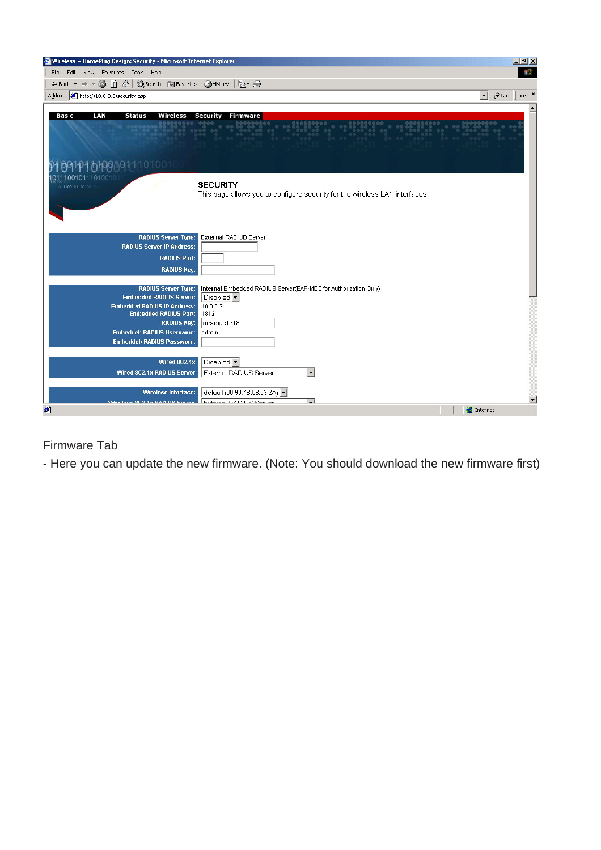| Wireless + HomePlug Design: Security - Microsoft Internet Explorer                                     | $-10 \times$                                                                                          |
|--------------------------------------------------------------------------------------------------------|-------------------------------------------------------------------------------------------------------|
| View Favorites Tools Help<br>Edit<br>Eile                                                              | <b>SEE</b>                                                                                            |
| ◎ □ △ © Search 图 Favorites ③ History   レ ●<br>$\leftarrow$ Back $\rightarrow$                          |                                                                                                       |
| Address @ http://10.0.0.3/security.asp                                                                 | $\vert$<br>$\partial$ Go<br>Links <sup>&gt;&gt;</sup>                                                 |
| Basic<br>LAN<br><b>Status</b><br><b>Wireless</b><br>010000111010010<br>001011101001<br>011100101110100 | <b>Security</b><br>Firmware<br><b>SECURITY</b>                                                        |
| <b>RADIUS Server Type:</b>                                                                             | This page allows you to configure security for the wireless LAN interfaces.<br>External RASIUD Server |
| <b>RADIUS Server IP Address:</b><br><b>RADIUS Port:</b><br><b>RADIUS Key:</b>                          |                                                                                                       |
| <b>RADIUS Server Type:</b>                                                                             | Internal Embedded RADIUS Server(EAP-MD5 for Authorization Only)                                       |
| <b>Embedded RADIUS Server:</b><br><b>Embedded RADIUS IP Address:</b>                                   | Disabled v<br>10.0.0.3                                                                                |
| <b>Embedded RADIUS Port:</b>                                                                           | 1812                                                                                                  |
| <b>RADIUS Key:</b>                                                                                     | mradius1218                                                                                           |
| <b>Embeddeb RADIUS Username:</b><br><b>Embeddeb RADIUS Password:</b>                                   | admin                                                                                                 |
| <b>Wired 802.1x</b>                                                                                    | Disabled v                                                                                            |
| Wired 802.1x RADIUS Server                                                                             | External RADIUS Server<br>$\blacktriangledown$                                                        |
| Wireless Interface:                                                                                    | default (00:90:4B:08:03:2A) -                                                                         |
| Miralace 802 1y RADILIS Sanzar Evidence DADILIS Sonior                                                 | $\overline{ }$<br>$\overline{\phantom{a}}$                                                            |
| €                                                                                                      | <b>D</b> Internet                                                                                     |

### Firmware Tab

- Here you can update the new firmware. (Note: You should download the new firmware first)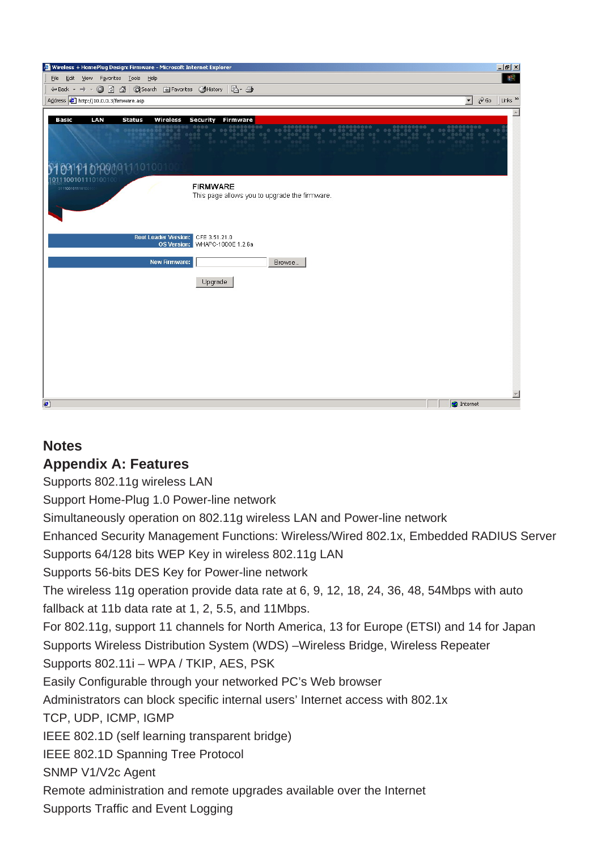

### **Notes**

### **Appendix A: Features**

Supports 802.11g wireless LAN

Support Home-Plug 1.0 Power-line network

Simultaneously operation on 802.11g wireless LAN and Power-line network

Enhanced Security Management Functions: Wireless/Wired 802.1x, Embedded RADIUS Server

Supports 64/128 bits WEP Key in wireless 802.11g LAN

Supports 56-bits DES Key for Power-line network

The wireless 11g operation provide data rate at 6, 9, 12, 18, 24, 36, 48, 54Mbps with auto fallback at 11b data rate at 1, 2, 5.5, and 11Mbps.

For 802.11g, support 11 channels for North America, 13 for Europe (ETSI) and 14 for Japan Supports Wireless Distribution System (WDS) –Wireless Bridge, Wireless Repeater

Supports 802.11i – WPA / TKIP, AES, PSK

Easily Configurable through your networked PC's Web browser

Administrators can block specific internal users' Internet access with 802.1x

TCP, UDP, ICMP, IGMP

IEEE 802.1D (self learning transparent bridge)

IEEE 802.1D Spanning Tree Protocol

SNMP V1/V2c Agent

Remote administration and remote upgrades available over the Internet

Supports Traffic and Event Logging